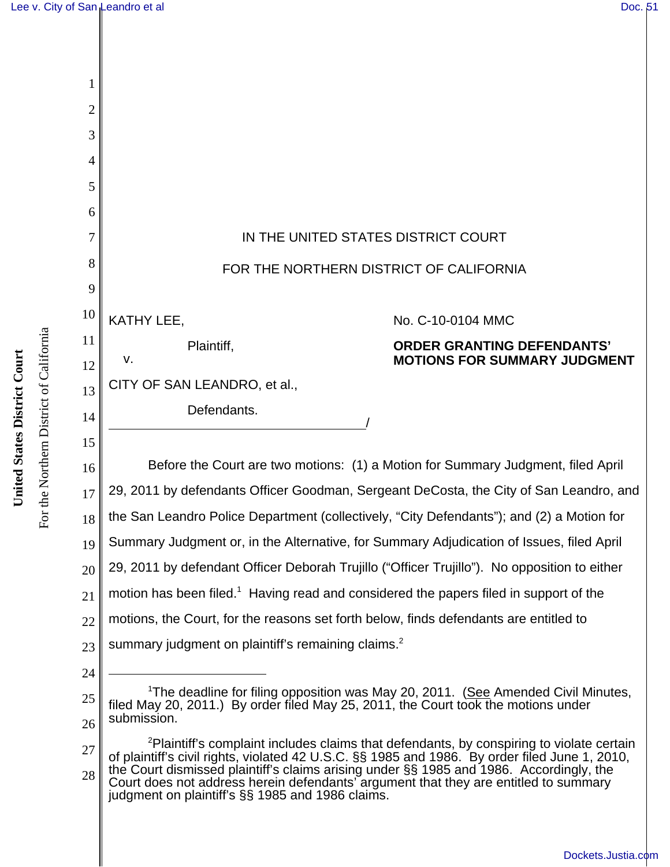

28 of plaintiff's civil rights, violated 42 U.S.C. §§ 1985 and 1986. By order filed June 1, 2010, the Court dismissed plaintiff's claims arising under §§ 1985 and 1986. Accordingly, the Court does not address herein defendants' argument that they are entitled to summary judgment on plaintiff's §§ 1985 and 1986 claims.

For the Northern District of California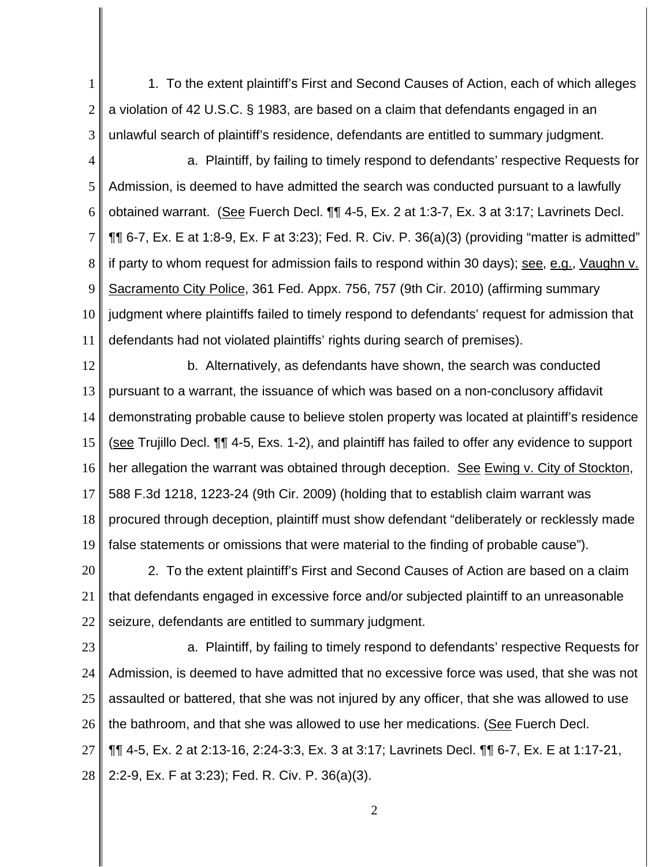1 2 3 1. To the extent plaintiff's First and Second Causes of Action, each of which alleges a violation of 42 U.S.C. § 1983, are based on a claim that defendants engaged in an unlawful search of plaintiff's residence, defendants are entitled to summary judgment.

4 5 6 7 8 9 10 11 a. Plaintiff, by failing to timely respond to defendants' respective Requests for Admission, is deemed to have admitted the search was conducted pursuant to a lawfully obtained warrant. (See Fuerch Decl. ¶¶ 4-5, Ex. 2 at 1:3-7, Ex. 3 at 3:17; Lavrinets Decl. ¶¶ 6-7, Ex. E at 1:8-9, Ex. F at 3:23); Fed. R. Civ. P. 36(a)(3) (providing "matter is admitted" if party to whom request for admission fails to respond within 30 days); see, e.g., Vaughn v. Sacramento City Police, 361 Fed. Appx. 756, 757 (9th Cir. 2010) (affirming summary judgment where plaintiffs failed to timely respond to defendants' request for admission that defendants had not violated plaintiffs' rights during search of premises).

12 13 14 15 16 17 18 19 b. Alternatively, as defendants have shown, the search was conducted pursuant to a warrant, the issuance of which was based on a non-conclusory affidavit demonstrating probable cause to believe stolen property was located at plaintiff's residence (see Trujillo Decl. ¶¶ 4-5, Exs. 1-2), and plaintiff has failed to offer any evidence to support her allegation the warrant was obtained through deception. See Ewing v. City of Stockton, 588 F.3d 1218, 1223-24 (9th Cir. 2009) (holding that to establish claim warrant was procured through deception, plaintiff must show defendant "deliberately or recklessly made false statements or omissions that were material to the finding of probable cause").

20 21 22 2. To the extent plaintiff's First and Second Causes of Action are based on a claim that defendants engaged in excessive force and/or subjected plaintiff to an unreasonable seizure, defendants are entitled to summary judgment.

23 24 25 26 27 28 a. Plaintiff, by failing to timely respond to defendants' respective Requests for Admission, is deemed to have admitted that no excessive force was used, that she was not assaulted or battered, that she was not injured by any officer, that she was allowed to use the bathroom, and that she was allowed to use her medications. (See Fuerch Decl. ¶¶ 4-5, Ex. 2 at 2:13-16, 2:24-3:3, Ex. 3 at 3:17; Lavrinets Decl. ¶¶ 6-7, Ex. E at 1:17-21, 2:2-9, Ex. F at 3:23); Fed. R. Civ. P. 36(a)(3).

2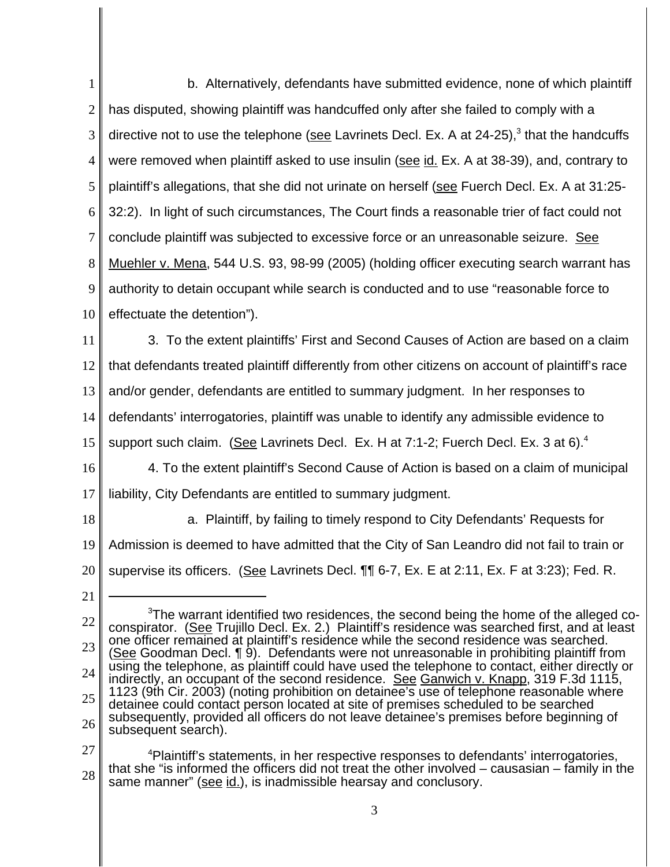1 2 3 4 5 6 7 8 9 10 11 12 13 14 15 16 17 18 19 20 21 22 23 24 25  $3$ The warrant identified two residences, the second being the home of the alleged coconspirator. (See Trujillo Decl. Ex. 2.) Plaintiff's residence was searched first, and at least one officer remained at plaintiff's residence while the second residence was searched. (See Goodman Decl. ¶ 9). Defendants were not unreasonable in prohibiting plaintiff from using the telephone, as plaintiff could have used the telephone to contact, either directly or indirectly, an occupant of the second residence. See Ganwich v. Knapp, 319 F.3d 1115, 1123 (9th Cir. 2003) (noting prohibition on detainee's use of telephone reasonable where detainee could contact person located at site of premises scheduled to be searched subsequently, provided all officers do not leave detainee's premises before beginning of b. Alternatively, defendants have submitted evidence, none of which plaintiff has disputed, showing plaintiff was handcuffed only after she failed to comply with a directive not to use the telephone (see Lavrinets Decl. Ex. A at 24-25),<sup>3</sup> that the handcuffs were removed when plaintiff asked to use insulin (see id. Ex. A at 38-39), and, contrary to plaintiff's allegations, that she did not urinate on herself (see Fuerch Decl. Ex. A at 31:25- 32:2). In light of such circumstances, The Court finds a reasonable trier of fact could not conclude plaintiff was subjected to excessive force or an unreasonable seizure. See Muehler v. Mena, 544 U.S. 93, 98-99 (2005) (holding officer executing search warrant has authority to detain occupant while search is conducted and to use "reasonable force to effectuate the detention"). 3. To the extent plaintiffs' First and Second Causes of Action are based on a claim that defendants treated plaintiff differently from other citizens on account of plaintiff's race and/or gender, defendants are entitled to summary judgment. In her responses to defendants' interrogatories, plaintiff was unable to identify any admissible evidence to support such claim. (See Lavrinets Decl. Ex. H at 7:1-2; Fuerch Decl. Ex. 3 at 6). $4$ 4. To the extent plaintiff's Second Cause of Action is based on a claim of municipal liability, City Defendants are entitled to summary judgment. a. Plaintiff, by failing to timely respond to City Defendants' Requests for Admission is deemed to have admitted that the City of San Leandro did not fail to train or supervise its officers. (See Lavrinets Decl. ¶¶ 6-7, Ex. E at 2:11, Ex. F at 3:23); Fed. R.

same manner" (see id.), is inadmissible hearsay and conclusory.

<sup>26</sup> 27 28 subsequent search). <sup>4</sup>Plaintiff's statements, in her respective responses to defendants' interrogatories, that she "is informed the officers did not treat the other involved – causasian – family in the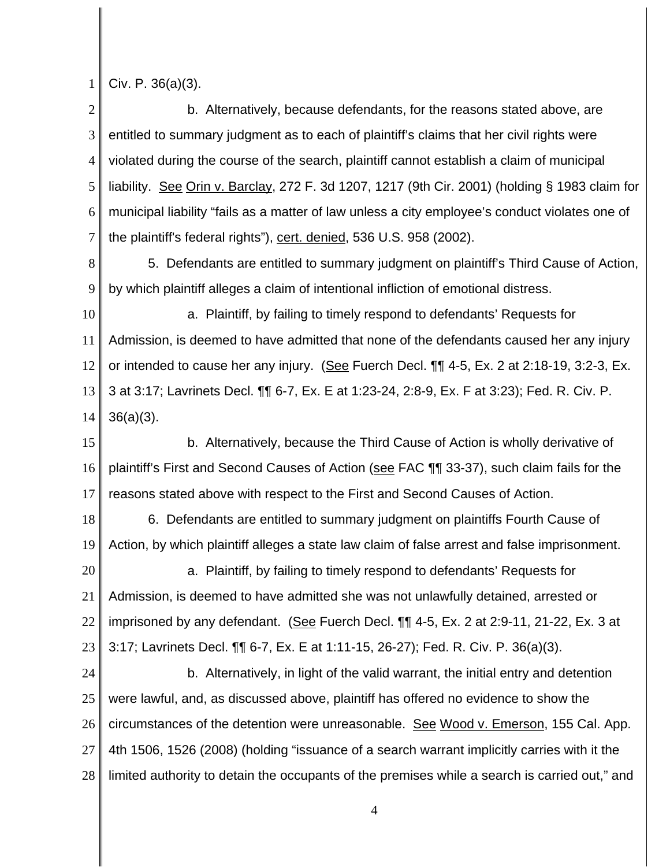1 Civ. P. 36(a)(3).

2 3 4 5 6 7 b. Alternatively, because defendants, for the reasons stated above, are entitled to summary judgment as to each of plaintiff's claims that her civil rights were violated during the course of the search, plaintiff cannot establish a claim of municipal liability. See Orin v. Barclay, 272 F. 3d 1207, 1217 (9th Cir. 2001) (holding § 1983 claim for municipal liability "fails as a matter of law unless a city employee's conduct violates one of the plaintiff's federal rights"), cert. denied, 536 U.S. 958 (2002).

8 9 5. Defendants are entitled to summary judgment on plaintiff's Third Cause of Action, by which plaintiff alleges a claim of intentional infliction of emotional distress.

10 11 12 13 14 a. Plaintiff, by failing to timely respond to defendants' Requests for Admission, is deemed to have admitted that none of the defendants caused her any injury or intended to cause her any injury. (See Fuerch Decl.  $\P\P$  4-5, Ex. 2 at 2:18-19, 3:2-3, Ex. 3 at 3:17; Lavrinets Decl. ¶¶ 6-7, Ex. E at 1:23-24, 2:8-9, Ex. F at 3:23); Fed. R. Civ. P. 36(a)(3).

15 16 17 b. Alternatively, because the Third Cause of Action is wholly derivative of plaintiff's First and Second Causes of Action (see FAC **[1]** 33-37), such claim fails for the reasons stated above with respect to the First and Second Causes of Action.

18 19 6. Defendants are entitled to summary judgment on plaintiffs Fourth Cause of Action, by which plaintiff alleges a state law claim of false arrest and false imprisonment.

20 21 22 23 a. Plaintiff, by failing to timely respond to defendants' Requests for Admission, is deemed to have admitted she was not unlawfully detained, arrested or imprisoned by any defendant. (See Fuerch Decl. ¶¶ 4-5, Ex. 2 at 2:9-11, 21-22, Ex. 3 at 3:17; Lavrinets Decl. ¶¶ 6-7, Ex. E at 1:11-15, 26-27); Fed. R. Civ. P. 36(a)(3).

24 25 26 27 28 b. Alternatively, in light of the valid warrant, the initial entry and detention were lawful, and, as discussed above, plaintiff has offered no evidence to show the circumstances of the detention were unreasonable. See Wood v. Emerson, 155 Cal. App. 4th 1506, 1526 (2008) (holding "issuance of a search warrant implicitly carries with it the limited authority to detain the occupants of the premises while a search is carried out," and